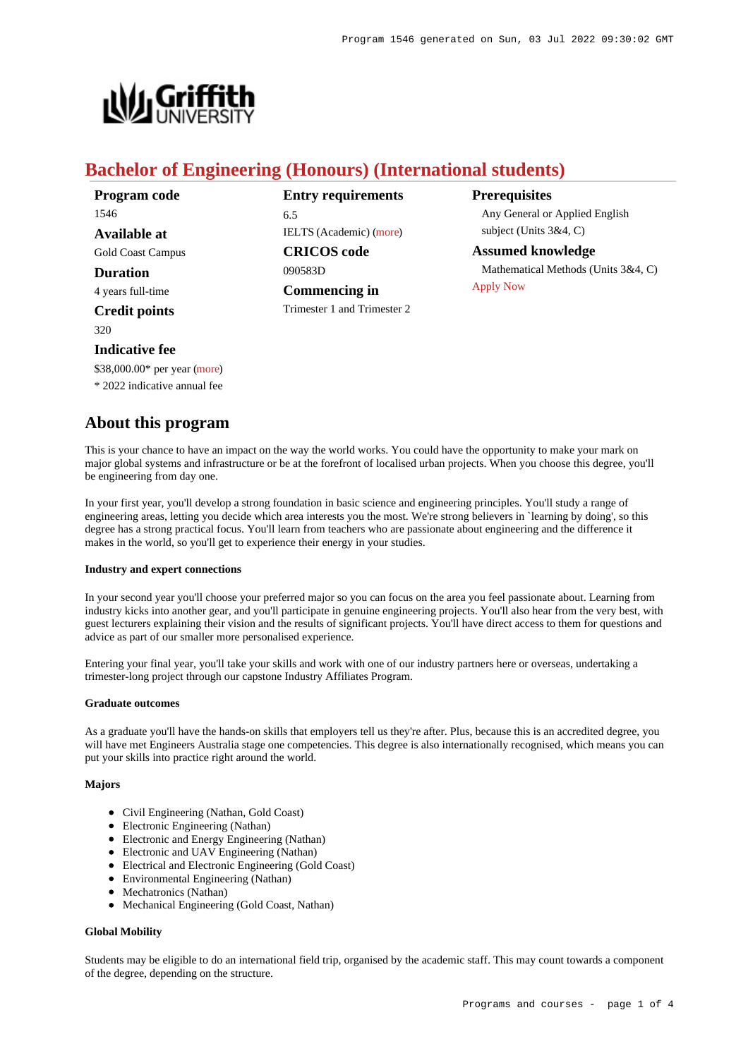[Apply Now](https://www148.griffith.edu.au/programs-courses/Program/1546/HowToApply/International#process)



# **Bachelor of Engineering (Honours) (International students)**

| Program code             |
|--------------------------|
| 1546                     |
| Available at             |
| <b>Gold Coast Campus</b> |
| <b>Duration</b>          |
| 4 years full-time        |
| <b>Credit points</b>     |
| 320                      |
| Indicative fee           |

**Entry requirements** 6.5 IELTS (Academic) [\(more](https://www148.griffith.edu.au/programs-courses/Program/1546/HowToApply/International#language)) **CRICOS code** 090583D **Commencing in**

Trimester 1 and Trimester 2

**Prerequisites** Any General or Applied English subject (Units 3&4, C)

**Assumed knowledge** Mathematical Methods (Units 3&4, C)

# **Indicative fee**

\$38,000.00\* per year [\(more](https://www148.griffith.edu.au/programs-courses/Program/1546/Overview/International#fees))

\* 2022 indicative annual fee

# **About this program**

This is your chance to have an impact on the way the world works. You could have the opportunity to make your mark on major global systems and infrastructure or be at the forefront of localised urban projects. When you choose this degree, you'll be engineering from day one.

In your first year, you'll develop a strong foundation in basic science and engineering principles. You'll study a range of engineering areas, letting you decide which area interests you the most. We're strong believers in `learning by doing', so this degree has a strong practical focus. You'll learn from teachers who are passionate about engineering and the difference it makes in the world, so you'll get to experience their energy in your studies.

# **Industry and expert connections**

In your second year you'll choose your preferred major so you can focus on the area you feel passionate about. Learning from industry kicks into another gear, and you'll participate in genuine engineering projects. You'll also hear from the very best, with guest lecturers explaining their vision and the results of significant projects. You'll have direct access to them for questions and advice as part of our smaller more personalised experience.

Entering your final year, you'll take your skills and work with one of our industry partners here or overseas, undertaking a trimester-long project through our capstone Industry Affiliates Program.

# **Graduate outcomes**

As a graduate you'll have the hands-on skills that employers tell us they're after. Plus, because this is an accredited degree, you will have met Engineers Australia stage one competencies. This degree is also internationally recognised, which means you can put your skills into practice right around the world.

# **Majors**

- Civil Engineering (Nathan, Gold Coast)
- Electronic Engineering (Nathan)
- Electronic and Energy Engineering (Nathan)
- Electronic and UAV Engineering (Nathan)
- Electrical and Electronic Engineering (Gold Coast)
- Environmental Engineering (Nathan)
- Mechatronics (Nathan)
- Mechanical Engineering (Gold Coast, Nathan)

# **Global Mobility**

Students may be eligible to do an international field trip, organised by the academic staff. This may count towards a component of the degree, depending on the structure.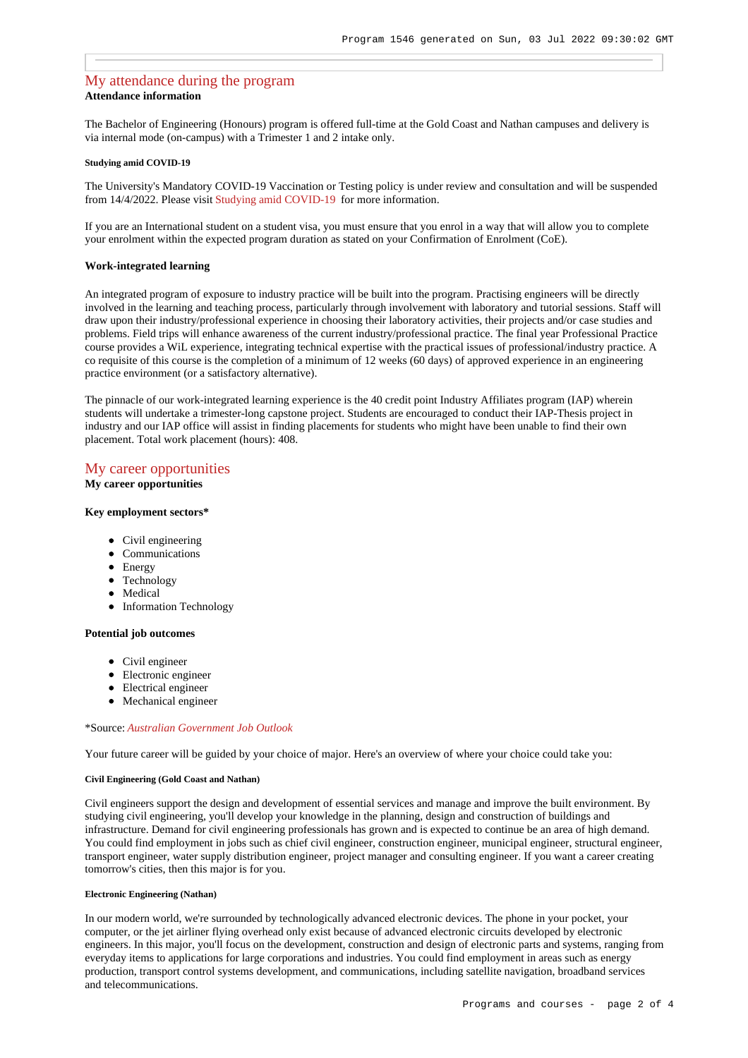# [My attendance during the program](https://www148.griffith.edu.au/programs-courses/Program/1546/Overview/International#attendance) **Attendance information**

The Bachelor of Engineering (Honours) program is offered full-time at the Gold Coast and Nathan campuses and delivery is via internal mode (on-campus) with a Trimester 1 and 2 intake only.

#### **Studying amid COVID-19**

The University's Mandatory COVID-19 Vaccination or Testing policy is under review and consultation and will be suspended from 14/4/2022. Please visit [Studying amid COVID-19](https://www.griffith.edu.au/coronavirus/studying-amid-covid-19) for more information.

If you are an International student on a student visa, you must ensure that you enrol in a way that will allow you to complete your enrolment within the expected program duration as stated on your Confirmation of Enrolment (CoE).

## **Work-integrated learning**

An integrated program of exposure to industry practice will be built into the program. Practising engineers will be directly involved in the learning and teaching process, particularly through involvement with laboratory and tutorial sessions. Staff will draw upon their industry/professional experience in choosing their laboratory activities, their projects and/or case studies and problems. Field trips will enhance awareness of the current industry/professional practice. The final year Professional Practice course provides a WiL experience, integrating technical expertise with the practical issues of professional/industry practice. A co requisite of this course is the completion of a minimum of 12 weeks (60 days) of approved experience in an engineering practice environment (or a satisfactory alternative).

The pinnacle of our work-integrated learning experience is the 40 credit point Industry Affiliates program (IAP) wherein students will undertake a trimester-long capstone project. Students are encouraged to conduct their IAP-Thesis project in industry and our IAP office will assist in finding placements for students who might have been unable to find their own placement. Total work placement (hours): 408.

# [My career opportunities](https://www148.griffith.edu.au/programs-courses/Program/1546/Overview/International#opportunities)

## **My career opportunities**

#### **Key employment sectors\***

- Civil engineering
- Communications
- Energy
- Technology
- Medical
- Information Technology

#### **Potential job outcomes**

- Civil engineer
- Electronic engineer
- Electrical engineer
- Mechanical engineer

### \*Source: *[Australian Government Job Outlook](https://joboutlook.gov.au/)*

Your future career will be guided by your choice of major. Here's an overview of where your choice could take you:

## **Civil Engineering (Gold Coast and Nathan)**

Civil engineers support the design and development of essential services and manage and improve the built environment. By studying civil engineering, you'll develop your knowledge in the planning, design and construction of buildings and infrastructure. Demand for civil engineering professionals has grown and is expected to continue be an area of high demand. You could find employment in jobs such as chief civil engineer, construction engineer, municipal engineer, structural engineer, transport engineer, water supply distribution engineer, project manager and consulting engineer. If you want a career creating tomorrow's cities, then this major is for you.

#### **Electronic Engineering (Nathan)**

In our modern world, we're surrounded by technologically advanced electronic devices. The phone in your pocket, your computer, or the jet airliner flying overhead only exist because of advanced electronic circuits developed by electronic engineers. In this major, you'll focus on the development, construction and design of electronic parts and systems, ranging from everyday items to applications for large corporations and industries. You could find employment in areas such as energy production, transport control systems development, and communications, including satellite navigation, broadband services and telecommunications.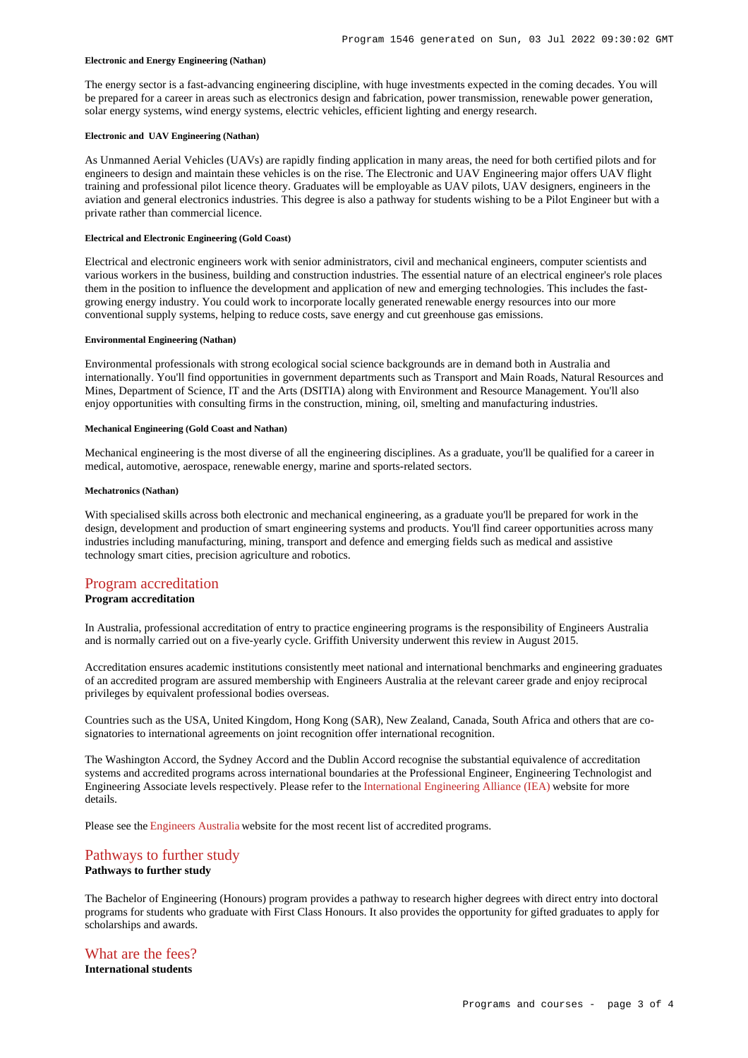#### **Electronic and Energy Engineering (Nathan)**

The energy sector is a fast-advancing engineering discipline, with huge investments expected in the coming decades. You will be prepared for a career in areas such as electronics design and fabrication, power transmission, renewable power generation, solar energy systems, wind energy systems, electric vehicles, efficient lighting and energy research.

## **Electronic and UAV Engineering (Nathan)**

As Unmanned Aerial Vehicles (UAVs) are rapidly finding application in many areas, the need for both certified pilots and for engineers to design and maintain these vehicles is on the rise. The Electronic and UAV Engineering major offers UAV flight training and professional pilot licence theory. Graduates will be employable as UAV pilots, UAV designers, engineers in the aviation and general electronics industries. This degree is also a pathway for students wishing to be a Pilot Engineer but with a private rather than commercial licence.

## **Electrical and Electronic Engineering (Gold Coast)**

Electrical and electronic engineers work with senior administrators, civil and mechanical engineers, computer scientists and various workers in the business, building and construction industries. The essential nature of an electrical engineer's role places them in the position to influence the development and application of new and emerging technologies. This includes the fastgrowing energy industry. You could work to incorporate locally generated renewable energy resources into our more conventional supply systems, helping to reduce costs, save energy and cut greenhouse gas emissions.

#### **Environmental Engineering (Nathan)**

Environmental professionals with strong ecological social science backgrounds are in demand both in Australia and internationally. You'll find opportunities in government departments such as Transport and Main Roads, Natural Resources and Mines, Department of Science, IT and the Arts (DSITIA) along with Environment and Resource Management. You'll also enjoy opportunities with consulting firms in the construction, mining, oil, smelting and manufacturing industries.

#### **Mechanical Engineering (Gold Coast and Nathan)**

Mechanical engineering is the most diverse of all the engineering disciplines. As a graduate, you'll be qualified for a career in medical, automotive, aerospace, renewable energy, marine and sports-related sectors.

#### **Mechatronics (Nathan)**

With specialised skills across both electronic and mechanical engineering, as a graduate you'll be prepared for work in the design, development and production of smart engineering systems and products. You'll find career opportunities across many industries including manufacturing, mining, transport and defence and emerging fields such as medical and assistive technology smart cities, precision agriculture and robotics.

## [Program accreditation](https://www148.griffith.edu.au/programs-courses/Program/1546/Overview/International#accreditation)

## **Program accreditation**

In Australia, professional accreditation of entry to practice engineering programs is the responsibility of Engineers Australia and is normally carried out on a five-yearly cycle. Griffith University underwent this review in August 2015.

Accreditation ensures academic institutions consistently meet national and international benchmarks and engineering graduates of an accredited program are assured membership with Engineers Australia at the relevant career grade and enjoy reciprocal privileges by equivalent professional bodies overseas.

Countries such as the USA, United Kingdom, Hong Kong (SAR), New Zealand, Canada, South Africa and others that are cosignatories to international agreements on joint recognition offer international recognition.

The Washington Accord, the Sydney Accord and the Dublin Accord recognise the substantial equivalence of accreditation systems and accredited programs across international boundaries at the Professional Engineer, Engineering Technologist and Engineering Associate levels respectively. Please refer to the [International Engineering Alliance \(IEA\)](http://www.ieagreements.org/) website for more details.

Please see the [Engineers Australia](https://www.engineersaustralia.org.au/about-us/program-accreditation#AP2) website for the most recent list of accredited programs.

# [Pathways to further study](https://www148.griffith.edu.au/programs-courses/Program/1546/Overview/International#pathways)

# **Pathways to further study**

The Bachelor of Engineering (Honours) program provides a pathway to research higher degrees with direct entry into doctoral programs for students who graduate with First Class Honours. It also provides the opportunity for gifted graduates to apply for scholarships and awards.

# [What are the fees?](https://www148.griffith.edu.au/programs-courses/Program/1546/Overview/International#fees)

**International students**